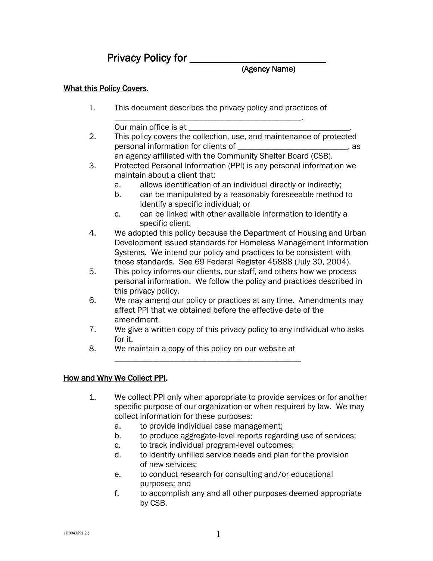# Privacy Policy for \_\_\_\_\_\_\_\_\_\_\_\_\_\_\_\_\_\_\_\_\_\_\_\_

## (Agency Name)

#### What this Policy Covers.

1. This document describes the privacy policy and practices of

\_\_\_\_\_\_\_\_\_\_\_\_\_\_\_\_\_\_\_\_\_\_\_\_\_\_\_\_\_\_\_\_\_\_\_\_\_\_\_\_\_\_\_\_. Our main office is at

- 2. This policy covers the collection, use, and maintenance of protected personal information for clients of \_\_\_\_\_\_\_\_\_\_\_\_\_\_\_\_\_\_\_\_\_\_\_\_\_\_, as an agency affiliated with the Community Shelter Board (CSB).
- 3. Protected Personal Information (PPI) is any personal information we maintain about a client that:
	- a. allows identification of an individual directly or indirectly;
	- b. can be manipulated by a reasonably foreseeable method to identify a specific individual; or
	- c. can be linked with other available information to identify a specific client.
- 4. We adopted this policy because the Department of Housing and Urban Development issued standards for Homeless Management Information Systems. We intend our policy and practices to be consistent with those standards. See 69 Federal Register 45888 (July 30, 2004).
- 5. This policy informs our clients, our staff, and others how we process personal information. We follow the policy and practices described in this privacy policy.
- 6. We may amend our policy or practices at any time. Amendments may affect PPI that we obtained before the effective date of the amendment.
- 7. We give a written copy of this privacy policy to any individual who asks for it.
- 8. We maintain a copy of this policy on our website at

\_\_\_\_\_\_\_\_\_\_\_\_\_\_\_\_\_\_\_\_\_\_\_\_\_\_\_\_\_\_\_\_\_\_\_\_\_\_\_\_\_\_\_\_

## How and Why We Collect PPI.

- 1. We collect PPI only when appropriate to provide services or for another specific purpose of our organization or when required by law. We may collect information for these purposes:
	- a. to provide individual case management;
	- b. to produce aggregate-level reports regarding use of services;
	- c. to track individual program-level outcomes;
	- d. to identify unfilled service needs and plan for the provision of new services;
	- e. to conduct research for consulting and/or educational purposes; and
	- f. to accomplish any and all other purposes deemed appropriate by CSB.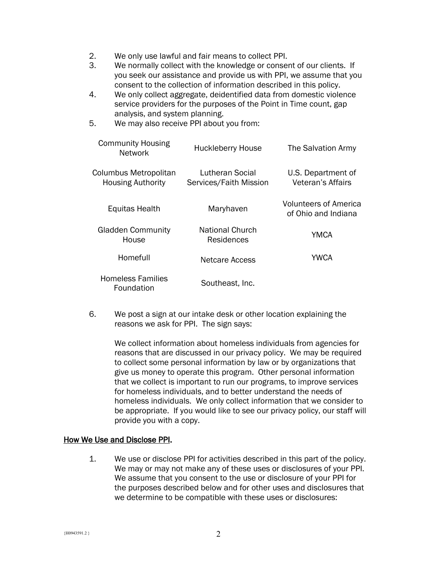- 2. We only use lawful and fair means to collect PPI.
- 3. We normally collect with the knowledge or consent of our clients. If you seek our assistance and provide us with PPI, we assume that you consent to the collection of information described in this policy.
- 4. We only collect aggregate, deidentified data from domestic violence service providers for the purposes of the Point in Time count, gap analysis, and system planning.
- 5. We may also receive PPI about you from:

| <b>Network</b>                                    |                                           |                                                     |
|---------------------------------------------------|-------------------------------------------|-----------------------------------------------------|
| Columbus Metropolitan<br><b>Housing Authority</b> | Lutheran Social<br>Services/Faith Mission | U.S. Department of<br>Veteran's Affairs             |
| Equitas Health                                    | Maryhaven                                 | <b>Volunteers of America</b><br>of Ohio and Indiana |
| <b>Gladden Community</b><br>House                 | <b>National Church</b><br>Residences      | YMCA                                                |
| Homefull                                          | Netcare Access                            | <b>YWCA</b>                                         |
| <b>Homeless Families</b><br>Foundation            | Southeast, Inc.                           |                                                     |

6. We post a sign at our intake desk or other location explaining the reasons we ask for PPI. The sign says:

We collect information about homeless individuals from agencies for reasons that are discussed in our privacy policy. We may be required to collect some personal information by law or by organizations that give us money to operate this program. Other personal information that we collect is important to run our programs, to improve services for homeless individuals, and to better understand the needs of homeless individuals. We only collect information that we consider to be appropriate. If you would like to see our privacy policy, our staff will provide you with a copy.

#### How We Use and Disclose PPI.

1. We use or disclose PPI for activities described in this part of the policy. We may or may not make any of these uses or disclosures of your PPI. We assume that you consent to the use or disclosure of your PPI for the purposes described below and for other uses and disclosures that we determine to be compatible with these uses or disclosures: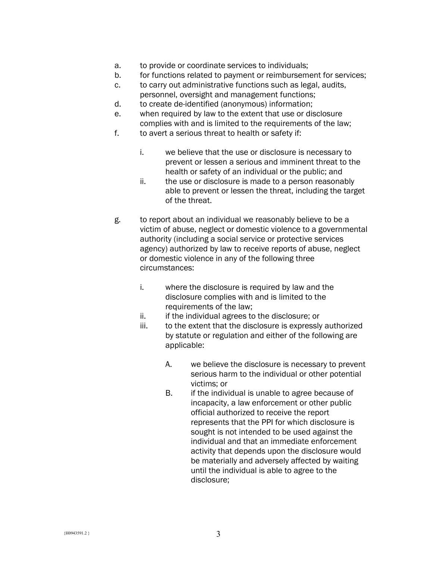- a. to provide or coordinate services to individuals;
- b. for functions related to payment or reimbursement for services;
- c. to carry out administrative functions such as legal, audits, personnel, oversight and management functions;
- d. to create de-identified (anonymous) information;
- e. when required by law to the extent that use or disclosure complies with and is limited to the requirements of the law;
- f. to avert a serious threat to health or safety if:
	- i. we believe that the use or disclosure is necessary to prevent or lessen a serious and imminent threat to the health or safety of an individual or the public; and
	- ii. the use or disclosure is made to a person reasonably able to prevent or lessen the threat, including the target of the threat.
- g. to report about an individual we reasonably believe to be a victim of abuse, neglect or domestic violence to a governmental authority (including a social service or protective services agency) authorized by law to receive reports of abuse, neglect or domestic violence in any of the following three circumstances:
	- i. where the disclosure is required by law and the disclosure complies with and is limited to the requirements of the law;
	- ii. if the individual agrees to the disclosure; or
	- iii. to the extent that the disclosure is expressly authorized by statute or regulation and either of the following are applicable:
		- A. we believe the disclosure is necessary to prevent serious harm to the individual or other potential victims; or
		- B. if the individual is unable to agree because of incapacity, a law enforcement or other public official authorized to receive the report represents that the PPI for which disclosure is sought is not intended to be used against the individual and that an immediate enforcement activity that depends upon the disclosure would be materially and adversely affected by waiting until the individual is able to agree to the disclosure;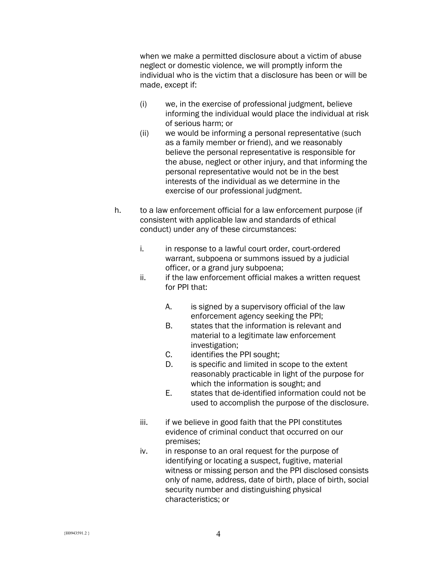when we make a permitted disclosure about a victim of abuse neglect or domestic violence, we will promptly inform the individual who is the victim that a disclosure has been or will be made, except if:

- (i) we, in the exercise of professional judgment, believe informing the individual would place the individual at risk of serious harm; or
- (ii) we would be informing a personal representative (such as a family member or friend), and we reasonably believe the personal representative is responsible for the abuse, neglect or other injury, and that informing the personal representative would not be in the best interests of the individual as we determine in the exercise of our professional judgment.
- h. to a law enforcement official for a law enforcement purpose (if consistent with applicable law and standards of ethical conduct) under any of these circumstances:
	- i. in response to a lawful court order, court-ordered warrant, subpoena or summons issued by a judicial officer, or a grand jury subpoena;
	- ii. if the law enforcement official makes a written request for PPI that:
		- A. is signed by a supervisory official of the law enforcement agency seeking the PPI;
		- B. states that the information is relevant and material to a legitimate law enforcement investigation;
		- C. identifies the PPI sought;
		- D. is specific and limited in scope to the extent reasonably practicable in light of the purpose for which the information is sought; and
		- E. states that de-identified information could not be used to accomplish the purpose of the disclosure.
	- iii. if we believe in good faith that the PPI constitutes evidence of criminal conduct that occurred on our premises;
	- iv. in response to an oral request for the purpose of identifying or locating a suspect, fugitive, material witness or missing person and the PPI disclosed consists only of name, address, date of birth, place of birth, social security number and distinguishing physical characteristics; or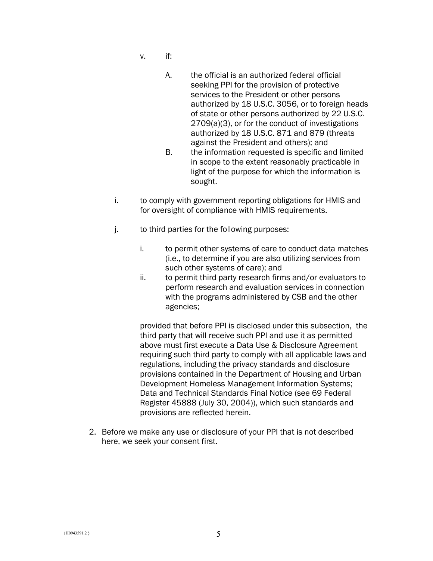- v. if:
	- A. the official is an authorized federal official seeking PPI for the provision of protective services to the President or other persons authorized by 18 U.S.C. 3056, or to foreign heads of state or other persons authorized by 22 U.S.C. 2709(a)(3), or for the conduct of investigations authorized by 18 U.S.C. 871 and 879 (threats against the President and others); and
	- B. the information requested is specific and limited in scope to the extent reasonably practicable in light of the purpose for which the information is sought.
- i. to comply with government reporting obligations for HMIS and for oversight of compliance with HMIS requirements.
- j. to third parties for the following purposes:
	- i. to permit other systems of care to conduct data matches (i.e., to determine if you are also utilizing services from such other systems of care); and
	- ii. to permit third party research firms and/or evaluators to perform research and evaluation services in connection with the programs administered by CSB and the other agencies;

provided that before PPI is disclosed under this subsection, the third party that will receive such PPI and use it as permitted above must first execute a Data Use & Disclosure Agreement requiring such third party to comply with all applicable laws and regulations, including the privacy standards and disclosure provisions contained in the Department of Housing and Urban Development Homeless Management Information Systems; Data and Technical Standards Final Notice (see 69 Federal Register 45888 (July 30, 2004)), which such standards and provisions are reflected herein.

2. Before we make any use or disclosure of your PPI that is not described here, we seek your consent first.